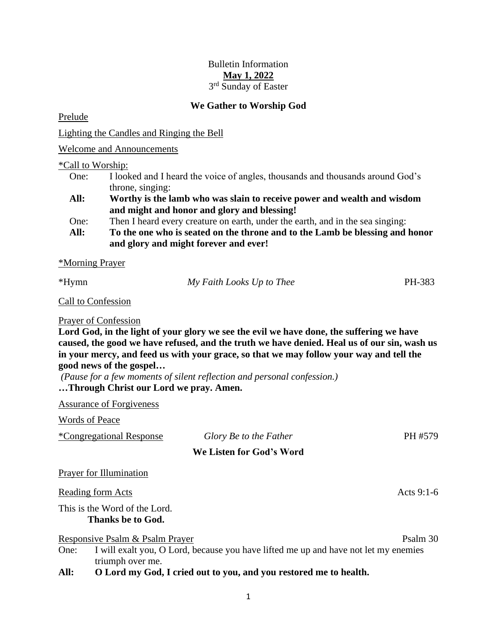# Bulletin Information **May 1, 2022** 3<sup>rd</sup> Sunday of Easter

## **We Gather to Worship God**

Prelude

Lighting the Candles and Ringing the Bell

Welcome and Announcements

\*Call to Worship:

- One: I looked and I heard the voice of angles, thousands and thousands around God's throne, singing:
- **All: Worthy is the lamb who was slain to receive power and wealth and wisdom and might and honor and glory and blessing!**
- One: Then I heard every creature on earth, under the earth, and in the sea singing:
- **All: To the one who is seated on the throne and to the Lamb be blessing and honor and glory and might forever and ever!**

\*Morning Prayer

| *Hymn         | My Faith Looks Up to Thee | PH-383 |
|---------------|---------------------------|--------|
| ____<br>_____ |                           |        |

Call to Confession

Prayer of Confession

**Lord God, in the light of your glory we see the evil we have done, the suffering we have caused, the good we have refused, and the truth we have denied. Heal us of our sin, wash us in your mercy, and feed us with your grace, so that we may follow your way and tell the good news of the gospel…**

*(Pause for a few moments of silent reflection and personal confession.)* **…Through Christ our Lord we pray. Amen.**

Assurance of Forgiveness

Words of Peace \*Congregational Response *Glory Be to the Father* PH #579 **We Listen for God's Word** Prayer for Illumination Reading form Acts 9:1-6 This is the Word of the Lord. **Thanks be to God.** Responsive Psalm & Psalm Prayer Psalm 30

One: I will exalt you, O Lord, because you have lifted me up and have not let my enemies triumph over me.

**All: O Lord my God, I cried out to you, and you restored me to health.**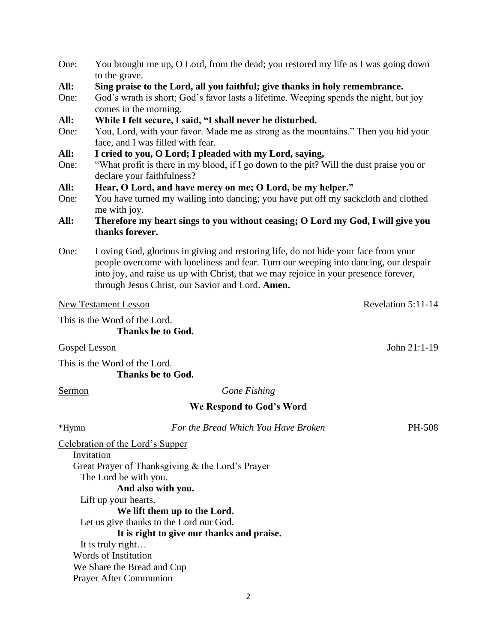- One: You brought me up, O Lord, from the dead; you restored my life as I was going down to the grave.
- **All: Sing praise to the Lord, all you faithful; give thanks in holy remembrance.**
- One: God's wrath is short; God's favor lasts a lifetime. Weeping spends the night, but joy comes in the morning.
- **All: While I felt secure, I said, "I shall never be disturbed.**
- One: You, Lord, with your favor. Made me as strong as the mountains." Then you hid your face, and I was filled with fear.
- **All: I cried to you, O Lord; I pleaded with my Lord, saying,**
- One: "What profit is there in my blood, if I go down to the pit? Will the dust praise you or declare your faithfulness?

## **All: Hear, O Lord, and have mercy on me; O Lord, be my helper."**

- One: You have turned my wailing into dancing; you have put off my sackcloth and clothed me with joy.
- **All: Therefore my heart sings to you without ceasing; O Lord my God, I will give you thanks forever.**
- One: Loving God, glorious in giving and restoring life, do not hide your face from your people overcome with loneliness and fear. Turn our weeping into dancing, our despair into joy, and raise us up with Christ, that we may rejoice in your presence forever, through Jesus Christ, our Savior and Lord. **Amen.**

#### New Testament Lesson Revelation 5:11-14

This is the Word of the Lord. **Thanks be to God.**

Gospel Lesson John 21:1-19

This is the Word of the Lord. **Thanks be to God.**

Sermon *Gone Fishing*

### **We Respond to God's Word**

\*Hymn *For the Bread Which You Have Broken* PH-508

Celebration of the Lord's Supper

Invitation

Great Prayer of Thanksgiving & the Lord's Prayer

The Lord be with you.

**And also with you.**

Lift up your hearts.

## **We lift them up to the Lord.**

Let us give thanks to the Lord our God.

**It is right to give our thanks and praise.**

It is truly right…

Words of Institution

We Share the Bread and Cup

Prayer After Communion